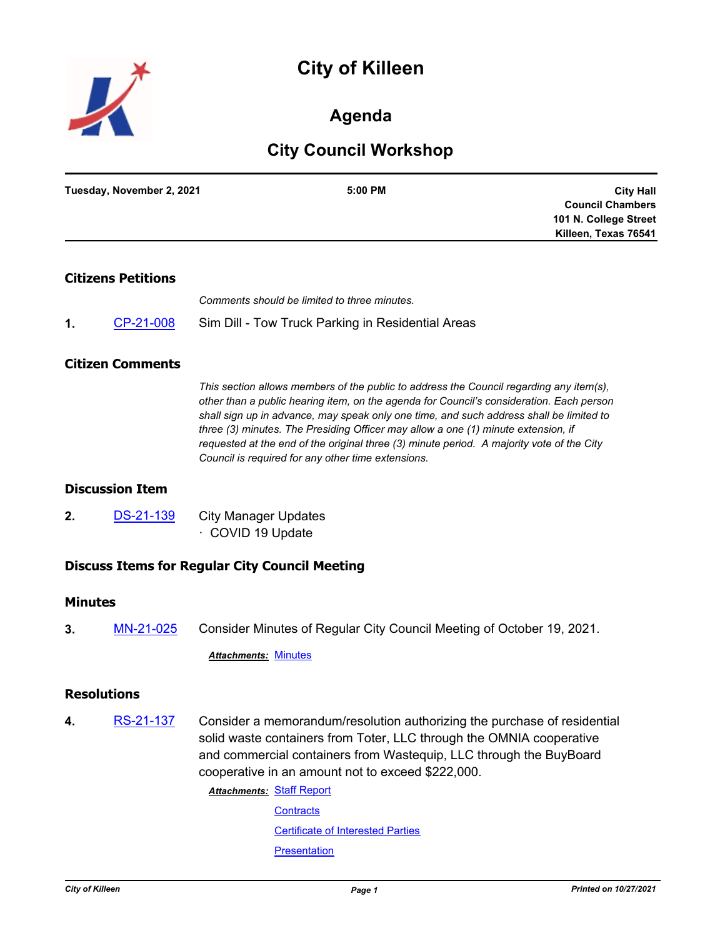# **City of Killeen**



# **Agenda**

# **City Council Workshop**

| 5:00 PM | Tuesday, November 2, 2021 |
|---------|---------------------------|
|         |                           |
|         |                           |
|         |                           |
|         |                           |

### **Citizens Petitions**

*Comments should be limited to three minutes.*

**1.** [CP-21-008](http://killeen.legistar.com/gateway.aspx?m=l&id=/matter.aspx?key=5780) Sim Dill - Tow Truck Parking in Residential Areas

#### **Citizen Comments**

*This section allows members of the public to address the Council regarding any item(s), other than a public hearing item, on the agenda for Council's consideration. Each person shall sign up in advance, may speak only one time, and such address shall be limited to three (3) minutes. The Presiding Officer may allow a one (1) minute extension, if requested at the end of the original three (3) minute period. A majority vote of the City Council is required for any other time extensions.*

### **Discussion Item**

**2.** [DS-21-139](http://killeen.legistar.com/gateway.aspx?m=l&id=/matter.aspx?key=5760) City Manager Updates · COVID 19 Update

# **Discuss Items for Regular City Council Meeting**

#### **Minutes**

**3.** [MN-21-025](http://killeen.legistar.com/gateway.aspx?m=l&id=/matter.aspx?key=5759) Consider Minutes of Regular City Council Meeting of October 19, 2021.

*Attachments:* [Minutes](http://killeen.legistar.com/gateway.aspx?M=F&ID=794895b0-d0cd-4c63-af4d-0fd2128b7bc3.pdf)

#### **Resolutions**

**4.** [RS-21-137](http://killeen.legistar.com/gateway.aspx?m=l&id=/matter.aspx?key=5728) Consider a memorandum/resolution authorizing the purchase of residential solid waste containers from Toter, LLC through the OMNIA cooperative and commercial containers from Wastequip, LLC through the BuyBoard cooperative in an amount not to exceed \$222,000.

> **Attachments: [Staff Report](http://killeen.legistar.com/gateway.aspx?M=F&ID=f0f73eca-8be0-46f7-b6c8-42d44849b641.pdf) [Contracts](http://killeen.legistar.com/gateway.aspx?M=F&ID=fe92dcaf-f704-447b-b84c-4f705b2e82e0.pdf)**

> > [Certificate of Interested Parties](http://killeen.legistar.com/gateway.aspx?M=F&ID=50e5a5b6-3ec1-48ab-80ce-e574fc3dac25.pdf) **[Presentation](http://killeen.legistar.com/gateway.aspx?M=F&ID=573da513-c18e-431c-9cbf-592ae0c34fb8.pdf)**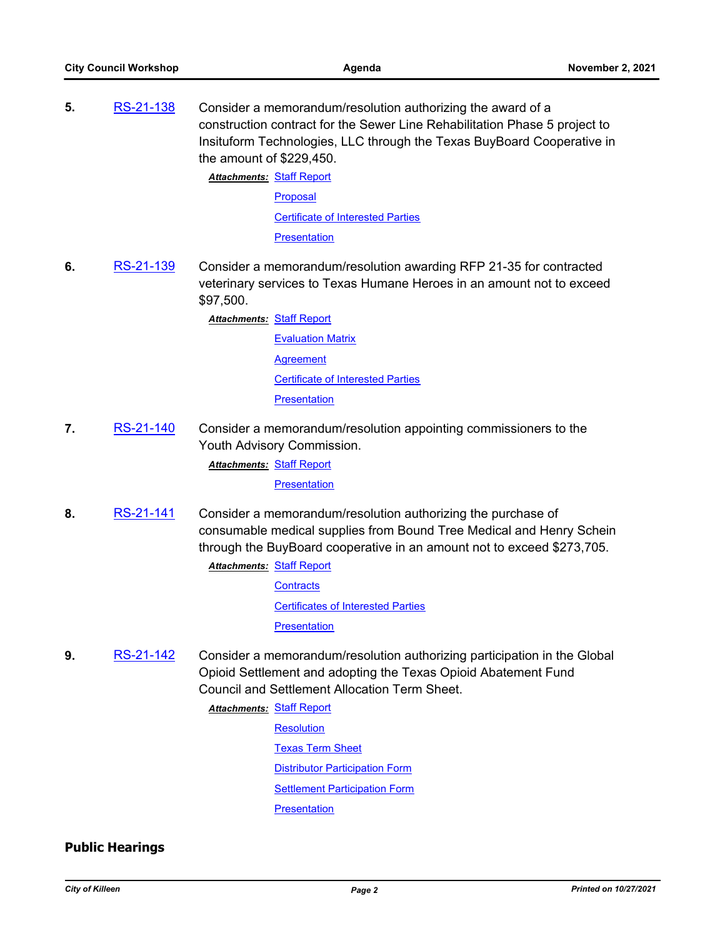**5.** [RS-21-138](http://killeen.legistar.com/gateway.aspx?m=l&id=/matter.aspx?key=5736) Consider a memorandum/resolution authorizing the award of a construction contract for the Sewer Line Rehabilitation Phase 5 project to Insituform Technologies, LLC through the Texas BuyBoard Cooperative in the amount of \$229,450.

> **Attachments: [Staff Report](http://killeen.legistar.com/gateway.aspx?M=F&ID=6067c173-1470-4082-b2af-05193ad49e6c.pdf)** [Proposal](http://killeen.legistar.com/gateway.aspx?M=F&ID=4ed49c9d-f201-4433-ad7b-af3bec884312.pdf) [Certificate of Interested Parties](http://killeen.legistar.com/gateway.aspx?M=F&ID=b66a11b4-3f47-438e-bbdd-dcd80276ffcc.pdf) **[Presentation](http://killeen.legistar.com/gateway.aspx?M=F&ID=211aeabd-e6ca-4468-aaf6-20ee4d099158.pdf)**

**6.** [RS-21-139](http://killeen.legistar.com/gateway.aspx?m=l&id=/matter.aspx?key=5756) Consider a memorandum/resolution awarding RFP 21-35 for contracted veterinary services to Texas Humane Heroes in an amount not to exceed \$97,500.

**Attachments: [Staff Report](http://killeen.legistar.com/gateway.aspx?M=F&ID=d753b013-dd86-4ccf-affd-a95f8ee25e61.pdf)** 

**[Evaluation Matrix](http://killeen.legistar.com/gateway.aspx?M=F&ID=ccfa6075-d93e-40ae-be74-9cb073e94260.pdf) [Agreement](http://killeen.legistar.com/gateway.aspx?M=F&ID=32cf8172-c968-4fc9-bd31-3720a236ee87.pdf)** [Certificate of Interested Parties](http://killeen.legistar.com/gateway.aspx?M=F&ID=8dfc8436-295a-482f-8347-02ca373d628f.pdf) **[Presentation](http://killeen.legistar.com/gateway.aspx?M=F&ID=6eefcd40-a174-4ad2-99b2-a00b26c7d66a.pdf)** 

**7.** [RS-21-140](http://killeen.legistar.com/gateway.aspx?m=l&id=/matter.aspx?key=5757) Consider a memorandum/resolution appointing commissioners to the Youth Advisory Commission.

**Attachments: [Staff Report](http://killeen.legistar.com/gateway.aspx?M=F&ID=3f11582c-a74c-48db-acf6-64b99b5c3c35.pdf) [Presentation](http://killeen.legistar.com/gateway.aspx?M=F&ID=d7881c7d-86b1-44ee-8ab2-d1696b5340b0.pdf)** 

**8.** [RS-21-141](http://killeen.legistar.com/gateway.aspx?m=l&id=/matter.aspx?key=5758) Consider a memorandum/resolution authorizing the purchase of consumable medical supplies from Bound Tree Medical and Henry Schein through the BuyBoard cooperative in an amount not to exceed \$273,705.

- **Attachments: [Staff Report](http://killeen.legistar.com/gateway.aspx?M=F&ID=4c947463-67d4-4723-8be9-97dc3e4a24d8.pdf) [Contracts](http://killeen.legistar.com/gateway.aspx?M=F&ID=79a3f763-d904-4809-bbc3-bb30e7145c38.pdf)** [Certificates of Interested Parties](http://killeen.legistar.com/gateway.aspx?M=F&ID=507308d4-e81c-45a9-9045-3514cbe585fb.pdf) **[Presentation](http://killeen.legistar.com/gateway.aspx?M=F&ID=5601799c-8cf9-4df1-9599-2a1b04fd2686.pdf)**
- **9.** [RS-21-142](http://killeen.legistar.com/gateway.aspx?m=l&id=/matter.aspx?key=5761) Consider a memorandum/resolution authorizing participation in the Global Opioid Settlement and adopting the Texas Opioid Abatement Fund Council and Settlement Allocation Term Sheet.

**Attachments: [Staff Report](http://killeen.legistar.com/gateway.aspx?M=F&ID=b0842d8c-36de-4a17-915a-1eda57b2c2f4.pdf)** 

**[Resolution](http://killeen.legistar.com/gateway.aspx?M=F&ID=6484288f-aa59-4432-9a2e-bc2084475deb.pdf)** 

[Texas Term Sheet](http://killeen.legistar.com/gateway.aspx?M=F&ID=e828ddb3-1766-418f-a6f9-08478519af5a.pdf)

**[Distributor Participation Form](http://killeen.legistar.com/gateway.aspx?M=F&ID=1c51ffd3-7396-4c0a-8cec-29f956a9ac46.pdf)** 

**[Settlement Participation Form](http://killeen.legistar.com/gateway.aspx?M=F&ID=dc3dd444-8d73-4a6c-9c41-5d21219be823.pdf)** 

**[Presentation](http://killeen.legistar.com/gateway.aspx?M=F&ID=779873d2-4f60-4993-8223-e74f3069d74e.pdf)** 

# **Public Hearings**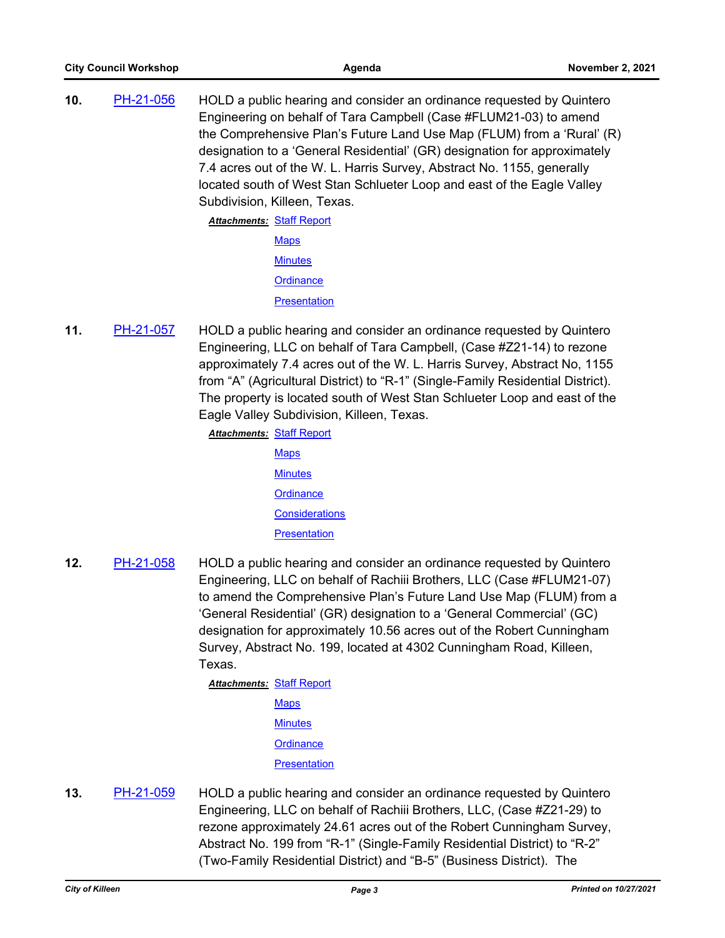**10.** [PH-21-056](http://killeen.legistar.com/gateway.aspx?m=l&id=/matter.aspx?key=5567) HOLD a public hearing and consider an ordinance requested by Quintero Engineering on behalf of Tara Campbell (Case #FLUM21-03) to amend the Comprehensive Plan's Future Land Use Map (FLUM) from a 'Rural' (R) designation to a 'General Residential' (GR) designation for approximately 7.4 acres out of the W. L. Harris Survey, Abstract No. 1155, generally located south of West Stan Schlueter Loop and east of the Eagle Valley Subdivision, Killeen, Texas.

**Attachments: [Staff Report](http://killeen.legistar.com/gateway.aspx?M=F&ID=4f98a797-9d2e-46f2-a36a-ea02db9fd999.pdf) [Maps](http://killeen.legistar.com/gateway.aspx?M=F&ID=632d8d79-4d9e-4f54-b00c-4c5a27f4189d.pdf) [Minutes](http://killeen.legistar.com/gateway.aspx?M=F&ID=583da855-440d-4723-b08c-c68dd71b3bc2.pdf) [Ordinance](http://killeen.legistar.com/gateway.aspx?M=F&ID=60e77fe2-bbe0-4a80-b866-a9083520dc72.pdf) [Presentation](http://killeen.legistar.com/gateway.aspx?M=F&ID=f4ffd54d-4cb8-4f13-bf5a-92e9ce02ab8c.pdf)** 

**11.** [PH-21-057](http://killeen.legistar.com/gateway.aspx?m=l&id=/matter.aspx?key=5569) HOLD a public hearing and consider an ordinance requested by Quintero Engineering, LLC on behalf of Tara Campbell, (Case #Z21-14) to rezone approximately 7.4 acres out of the W. L. Harris Survey, Abstract No, 1155 from "A" (Agricultural District) to "R-1" (Single-Family Residential District). The property is located south of West Stan Schlueter Loop and east of the Eagle Valley Subdivision, Killeen, Texas.

**Attachments: [Staff Report](http://killeen.legistar.com/gateway.aspx?M=F&ID=9c1c6e2b-b2cb-434e-8a0d-5e28c4e0d05f.pdf)** 

- **[Maps](http://killeen.legistar.com/gateway.aspx?M=F&ID=a631e396-c5a7-4056-883d-835572bceebb.pdf) [Minutes](http://killeen.legistar.com/gateway.aspx?M=F&ID=444c2947-140e-4483-a7ab-99fd7d11d48d.pdf) [Ordinance](http://killeen.legistar.com/gateway.aspx?M=F&ID=bbf3d32f-ac48-401c-b2b8-1a78fc9b80f4.pdf) [Considerations](http://killeen.legistar.com/gateway.aspx?M=F&ID=ff81df94-b142-4a3a-88fb-5c36042852f0.pdf) [Presentation](http://killeen.legistar.com/gateway.aspx?M=F&ID=11b3791f-0b3e-48dd-babd-b0783909b1fc.pdf)**
- **12.** [PH-21-058](http://killeen.legistar.com/gateway.aspx?m=l&id=/matter.aspx?key=5705) HOLD a public hearing and consider an ordinance requested by Quintero Engineering, LLC on behalf of Rachiii Brothers, LLC (Case #FLUM21-07) to amend the Comprehensive Plan's Future Land Use Map (FLUM) from a 'General Residential' (GR) designation to a 'General Commercial' (GC) designation for approximately 10.56 acres out of the Robert Cunningham Survey, Abstract No. 199, located at 4302 Cunningham Road, Killeen, Texas.

**Attachments: [Staff Report](http://killeen.legistar.com/gateway.aspx?M=F&ID=42fe38ef-953e-4749-b2d2-edd8c65d80a1.pdf) [Maps](http://killeen.legistar.com/gateway.aspx?M=F&ID=e6e016ef-097e-4d33-b3c4-e0ddbb0597aa.pdf) [Minutes](http://killeen.legistar.com/gateway.aspx?M=F&ID=6ecc09c8-8678-414d-be50-4bd10ad0aab6.pdf) [Ordinance](http://killeen.legistar.com/gateway.aspx?M=F&ID=5cf4cf5f-7cf5-4ed5-a0fd-9e51c9d6a32c.pdf) [Presentation](http://killeen.legistar.com/gateway.aspx?M=F&ID=716cca1b-fe7b-44c3-8718-e7f8f6e6212d.pdf)** 

**13.** [PH-21-059](http://killeen.legistar.com/gateway.aspx?m=l&id=/matter.aspx?key=5706) HOLD a public hearing and consider an ordinance requested by Quintero Engineering, LLC on behalf of Rachiii Brothers, LLC, (Case #Z21-29) to rezone approximately 24.61 acres out of the Robert Cunningham Survey, Abstract No. 199 from "R-1" (Single-Family Residential District) to "R-2" (Two-Family Residential District) and "B-5" (Business District). The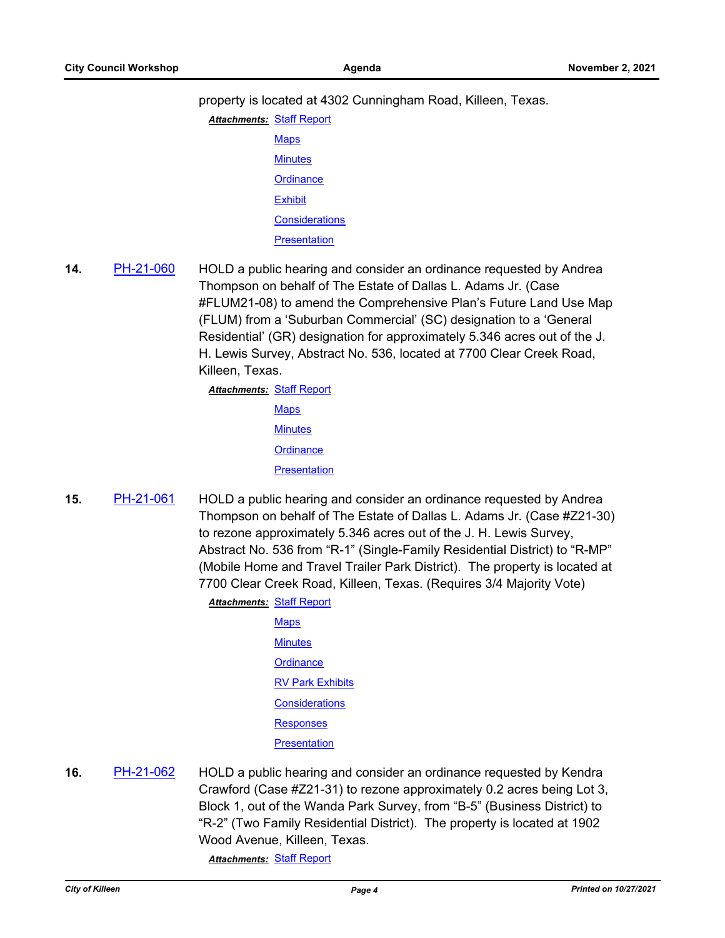property is located at 4302 Cunningham Road, Killeen, Texas.

**Attachments: [Staff Report](http://killeen.legistar.com/gateway.aspx?M=F&ID=4dd02f0f-c983-4445-9b6e-44c7d3844387.pdf) [Maps](http://killeen.legistar.com/gateway.aspx?M=F&ID=171adfcb-4fdf-45e7-993b-c9368d06bacc.pdf) [Minutes](http://killeen.legistar.com/gateway.aspx?M=F&ID=fc3f4de3-2b8b-4c2c-8a0d-b62e9a1c556a.pdf) [Ordinance](http://killeen.legistar.com/gateway.aspx?M=F&ID=71f4ab86-9c46-4751-be3e-9c9b947590fc.pdf) [Exhibit](http://killeen.legistar.com/gateway.aspx?M=F&ID=cde9ee58-1aad-4199-9e24-41236e8e1ca3.pdf) [Considerations](http://killeen.legistar.com/gateway.aspx?M=F&ID=813bf253-3977-4ac1-861a-44a4b3e76caf.pdf) [Presentation](http://killeen.legistar.com/gateway.aspx?M=F&ID=0d90a1ba-ae7d-4053-978b-b1250d55bd1b.pdf)** 

**14.** [PH-21-060](http://killeen.legistar.com/gateway.aspx?m=l&id=/matter.aspx?key=5707) HOLD a public hearing and consider an ordinance requested by Andrea Thompson on behalf of The Estate of Dallas L. Adams Jr. (Case #FLUM21-08) to amend the Comprehensive Plan's Future Land Use Map (FLUM) from a 'Suburban Commercial' (SC) designation to a 'General Residential' (GR) designation for approximately 5.346 acres out of the J. H. Lewis Survey, Abstract No. 536, located at 7700 Clear Creek Road, Killeen, Texas.

> **Attachments: [Staff Report](http://killeen.legistar.com/gateway.aspx?M=F&ID=29d3bbd8-44bd-44c7-8b18-b0a7769d2f87.pdf) [Maps](http://killeen.legistar.com/gateway.aspx?M=F&ID=cdca0d81-1387-46d6-999f-5e6e725b6ebd.pdf) [Minutes](http://killeen.legistar.com/gateway.aspx?M=F&ID=fa1db325-9055-4ff8-b913-d6c66494ffc3.pdf) [Ordinance](http://killeen.legistar.com/gateway.aspx?M=F&ID=b62c517f-e483-4228-92df-32cf185f4a3c.pdf) [Presentation](http://killeen.legistar.com/gateway.aspx?M=F&ID=0d5ab16e-4834-4496-a9ff-f898f82ca208.pdf)**

**15.** [PH-21-061](http://killeen.legistar.com/gateway.aspx?m=l&id=/matter.aspx?key=5708) HOLD a public hearing and consider an ordinance requested by Andrea Thompson on behalf of The Estate of Dallas L. Adams Jr. (Case #Z21-30) to rezone approximately 5.346 acres out of the J. H. Lewis Survey, Abstract No. 536 from "R-1" (Single-Family Residential District) to "R-MP" (Mobile Home and Travel Trailer Park District). The property is located at 7700 Clear Creek Road, Killeen, Texas. (Requires 3/4 Majority Vote) **Attachments: [Staff Report](http://killeen.legistar.com/gateway.aspx?M=F&ID=71b2aa4a-864b-43a5-92f3-2f3fd53b22b7.pdf)** 

**[Maps](http://killeen.legistar.com/gateway.aspx?M=F&ID=180686e3-d332-4c98-964c-17f456a6f934.pdf) [Minutes](http://killeen.legistar.com/gateway.aspx?M=F&ID=1245d45e-0489-43d5-b03a-29861ad5bd36.pdf) [Ordinance](http://killeen.legistar.com/gateway.aspx?M=F&ID=15e830e1-9394-4fe7-ae4b-03868f588a08.pdf) [RV Park Exhibits](http://killeen.legistar.com/gateway.aspx?M=F&ID=4eb6e601-a80d-4509-be22-ba6b2ef0f098.pdf) [Considerations](http://killeen.legistar.com/gateway.aspx?M=F&ID=d817bcd1-3044-4f17-84cb-72e8dd62f7fc.pdf) [Responses](http://killeen.legistar.com/gateway.aspx?M=F&ID=a59f4adc-1a51-43c1-b921-2045a2bfa912.pdf) [Presentation](http://killeen.legistar.com/gateway.aspx?M=F&ID=1e83ea10-c488-40e3-a456-d37acd5972c3.pdf)** 

**16.** [PH-21-062](http://killeen.legistar.com/gateway.aspx?m=l&id=/matter.aspx?key=5709) HOLD a public hearing and consider an ordinance requested by Kendra Crawford (Case #Z21-31) to rezone approximately 0.2 acres being Lot 3, Block 1, out of the Wanda Park Survey, from "B-5" (Business District) to "R-2" (Two Family Residential District). The property is located at 1902 Wood Avenue, Killeen, Texas.

*Attachments:* [Staff Report](http://killeen.legistar.com/gateway.aspx?M=F&ID=d0a445a6-d0ef-48e9-9a40-b3078f69dae6.pdf)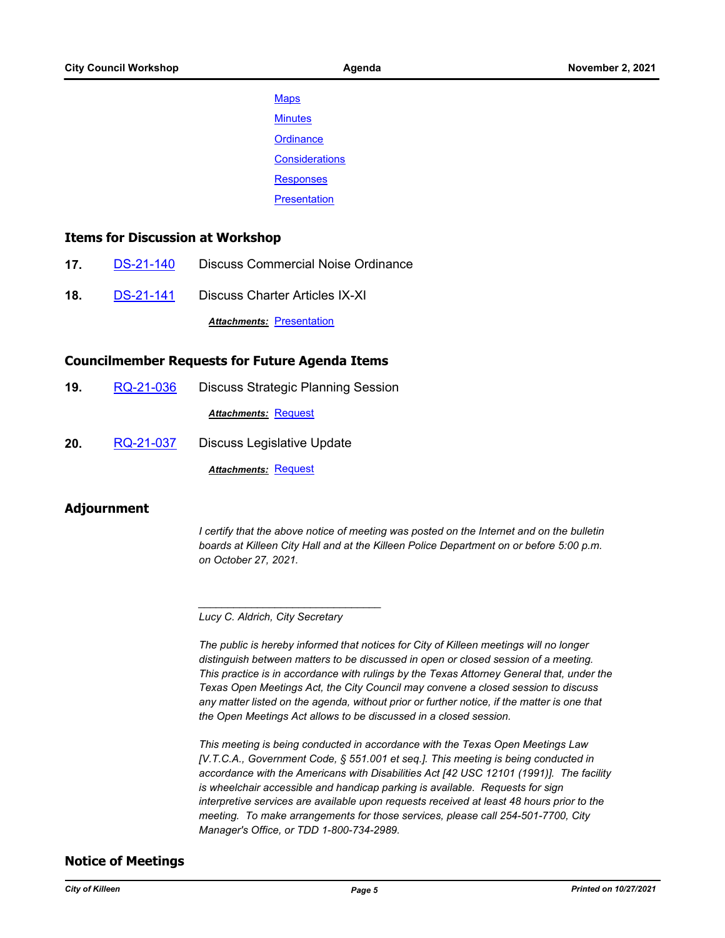**[Maps](http://killeen.legistar.com/gateway.aspx?M=F&ID=171ccd65-d1a3-4d68-905d-1cc2544f23c7.pdf) [Minutes](http://killeen.legistar.com/gateway.aspx?M=F&ID=93974072-84f5-4526-81aa-3a27894d3ff0.pdf) [Ordinance](http://killeen.legistar.com/gateway.aspx?M=F&ID=42e1a422-d357-45a3-a440-83b74127acc0.pdf) [Considerations](http://killeen.legistar.com/gateway.aspx?M=F&ID=8af82857-ad41-47f0-af69-27f8ce4728e3.pdf)** [Responses](http://killeen.legistar.com/gateway.aspx?M=F&ID=cbc2b124-95d3-4b70-86e3-c97e00418d83.pdf) **[Presentation](http://killeen.legistar.com/gateway.aspx?M=F&ID=b9f3a0d2-9cc6-48f1-b5f3-af444fd9d622.pdf)** 

#### **Items for Discussion at Workshop**

- **17.** [DS-21-140](http://killeen.legistar.com/gateway.aspx?m=l&id=/matter.aspx?key=5617) Discuss Commercial Noise Ordinance
- **18.** [DS-21-141](http://killeen.legistar.com/gateway.aspx?m=l&id=/matter.aspx?key=5763) Discuss Charter Articles IX-XI

*Attachments:* [Presentation](http://killeen.legistar.com/gateway.aspx?M=F&ID=b62146bc-37d6-4107-a628-7d90dc3cf49e.pdf)

#### **Councilmember Requests for Future Agenda Items**

- **19.** [RQ-21-036](http://killeen.legistar.com/gateway.aspx?m=l&id=/matter.aspx?key=5773) Discuss Strategic Planning Session *Attachments:* [Request](http://killeen.legistar.com/gateway.aspx?M=F&ID=f790e70d-adb8-4758-8125-ab2a1a55beb6.pdf)
- **20.** [RQ-21-037](http://killeen.legistar.com/gateway.aspx?m=l&id=/matter.aspx?key=5774) Discuss Legislative Update

*Attachments:* [Request](http://killeen.legistar.com/gateway.aspx?M=F&ID=ab31bc4b-3c61-4369-ac1a-3c3b08fdfe80.pdf)

#### **Adjournment**

*I* certify that the above notice of meeting was posted on the Internet and on the bulletin *boards at Killeen City Hall and at the Killeen Police Department on or before 5:00 p.m. on October 27, 2021.*

*\_\_\_\_\_\_\_\_\_\_\_\_\_\_\_\_\_\_\_\_\_\_\_\_\_\_\_\_\_\_\_*

*The public is hereby informed that notices for City of Killeen meetings will no longer distinguish between matters to be discussed in open or closed session of a meeting. This practice is in accordance with rulings by the Texas Attorney General that, under the Texas Open Meetings Act, the City Council may convene a closed session to discuss any matter listed on the agenda, without prior or further notice, if the matter is one that the Open Meetings Act allows to be discussed in a closed session.*

*This meeting is being conducted in accordance with the Texas Open Meetings Law [V.T.C.A., Government Code, § 551.001 et seq.]. This meeting is being conducted in accordance with the Americans with Disabilities Act [42 USC 12101 (1991)]. The facility is wheelchair accessible and handicap parking is available. Requests for sign interpretive services are available upon requests received at least 48 hours prior to the meeting. To make arrangements for those services, please call 254-501-7700, City Manager's Office, or TDD 1-800-734-2989.*

#### **Notice of Meetings**

*Lucy C. Aldrich, City Secretary*